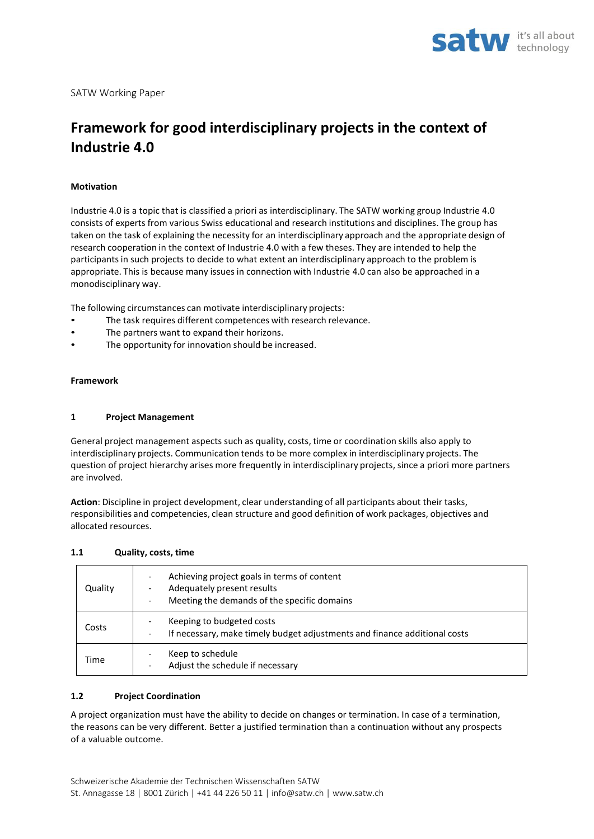

# **Framework for good interdisciplinary projects in the context of Industrie 4.0**

## **Motivation**

Industrie 4.0 is a topic that is classified a priori as interdisciplinary. The SATW working group Industrie 4.0 consists of experts from various Swiss educational and research institutions and disciplines. The group has taken on the task of explaining the necessity for an interdisciplinary approach and the appropriate design of research cooperation in the context of Industrie 4.0 with a few theses. They are intended to help the participantsin such projects to decide to what extent an interdisciplinary approach to the problem is appropriate. This is because many issues in connection with Industrie 4.0 can also be approached in a monodisciplinary way.

The following circumstances can motivate interdisciplinary projects:

- The task requires different competences with research relevance.
- The partners want to expand their horizons.
- The opportunity for innovation should be increased.

#### **Framework**

#### **1 Project Management**

General project management aspects such as quality, costs, time or coordination skills also apply to interdisciplinary projects. Communication tends to be more complex in interdisciplinary projects. The question of project hierarchy arises more frequently in interdisciplinary projects, since a priori more partners are involved.

**Action**: Discipline in project development, clear understanding of all participants about their tasks, responsibilities and competencies, clean structure and good definition of work packages, objectives and allocated resources.

#### **1.1 Quality, costs, time**

| Quality | Achieving project goals in terms of content<br>$\overline{\phantom{0}}$<br>Adequately present results<br>-<br>Meeting the demands of the specific domains<br>- |
|---------|----------------------------------------------------------------------------------------------------------------------------------------------------------------|
| Costs   | Keeping to budgeted costs<br>If necessary, make timely budget adjustments and finance additional costs<br>$\overline{\phantom{a}}$                             |
| Time    | Keep to schedule<br>Adjust the schedule if necessary<br>$\overline{\phantom{0}}$                                                                               |

#### **1.2 Project Coordination**

A project organization must have the ability to decide on changes or termination. In case of a termination, the reasons can be very different. Better a justified termination than a continuation without any prospects of a valuable outcome.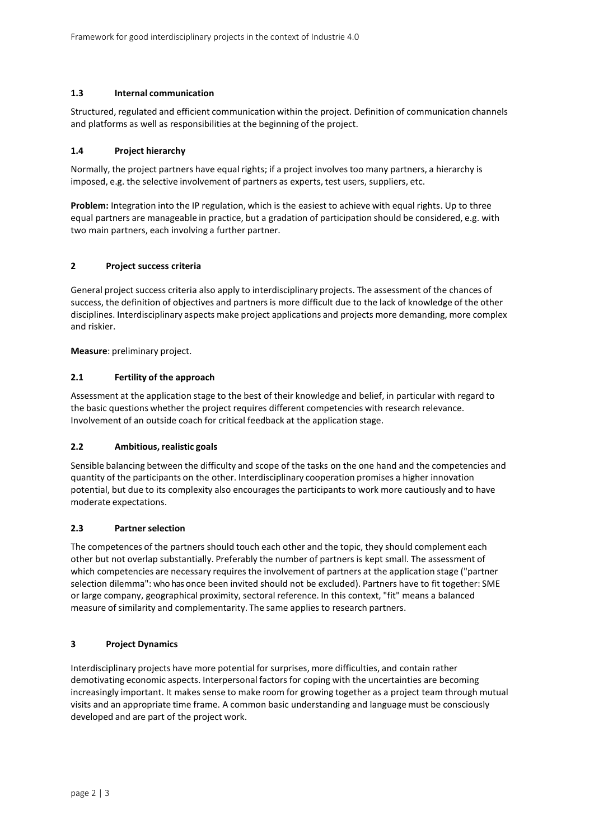## **1.3 Internal communication**

Structured, regulated and efficient communication within the project. Definition of communication channels and platforms as well as responsibilities at the beginning of the project.

#### **1.4 Project hierarchy**

Normally, the project partners have equal rights; if a project involves too many partners, a hierarchy is imposed, e.g. the selective involvement of partners as experts, test users, suppliers, etc.

**Problem:** Integration into the IP regulation, which is the easiest to achieve with equal rights. Up to three equal partners are manageable in practice, but a gradation of participation should be considered, e.g. with two main partners, each involving a further partner.

## **2 Project success criteria**

General project success criteria also apply to interdisciplinary projects. The assessment of the chances of success, the definition of objectives and partners is more difficult due to the lack of knowledge of the other disciplines. Interdisciplinary aspects make project applications and projects more demanding, more complex and riskier.

**Measure**: preliminary project.

#### **2.1 Fertility of the approach**

Assessment at the application stage to the best of their knowledge and belief, in particular with regard to the basic questions whether the project requires different competencies with research relevance. Involvement of an outside coach for critical feedback at the application stage.

### **2.2 Ambitious,realistic goals**

Sensible balancing between the difficulty and scope of the tasks on the one hand and the competencies and quantity of the participants on the other. Interdisciplinary cooperation promises a higher innovation potential, but due to its complexity also encourages the participants to work more cautiously and to have moderate expectations.

#### **2.3 Partner selection**

The competences of the partners should touch each other and the topic, they should complement each other but not overlap substantially. Preferably the number of partners is kept small. The assessment of which competencies are necessary requires the involvement of partners at the application stage ("partner selection dilemma": who has once been invited should not be excluded). Partners have to fit together: SME or large company, geographical proximity, sectoral reference. In this context, "fit" means a balanced measure of similarity and complementarity. The same applies to research partners.

#### **3 Project Dynamics**

Interdisciplinary projects have more potential for surprises, more difficulties, and contain rather demotivating economic aspects. Interpersonal factors for coping with the uncertainties are becoming increasingly important. It makes sense to make room for growing together as a project team through mutual visits and an appropriate time frame. A common basic understanding and language must be consciously developed and are part of the project work.